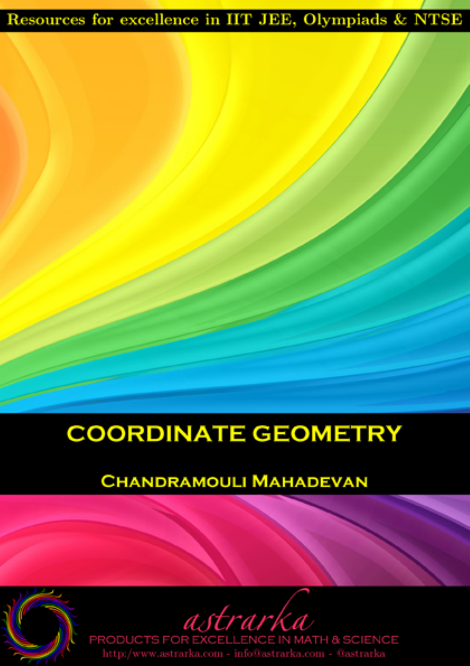## Resources for excellence in IIT JEE, Olympiads & NTSE

## **COORDINATE GEOMETRY**

## **CHANDRAMOULI MAHADEVAN**

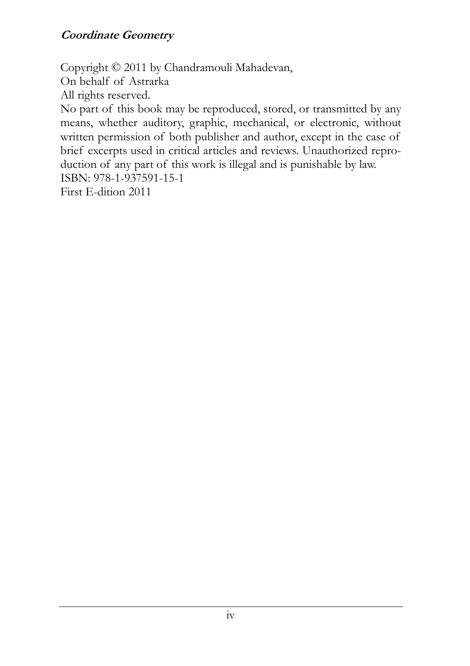#### **Coordinate Geometry**

Copyright © 2011 by Chandramouli Mahadevan, On behalf of Astrarka All rights reserved. No part of this book may be reproduced, stored, or transmitted by any means, whether auditory, graphic, mechanical, or electronic, without written permission of both publisher and author, except in the case of brief excerpts used in critical articles and reviews. Unauthorized reproduction of any part of this work is illegal and is punishable by law. ISBN: 978-1-937591-15-1 First E-dition 2011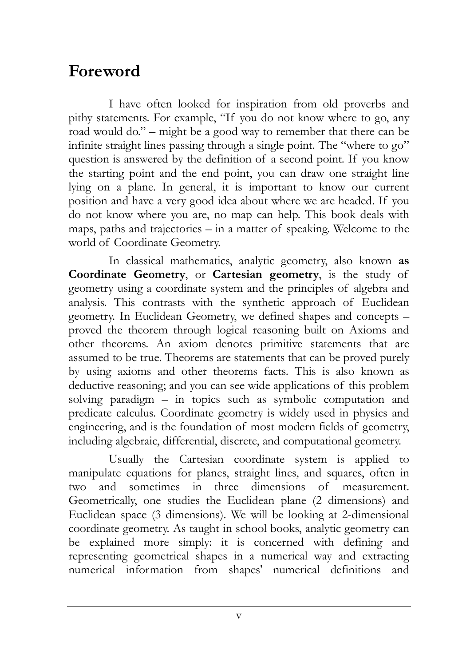## **Foreword**

I have often looked for inspiration from old proverbs and pithy statements. For example, "If you do not know where to go, any road would do." – might be a good way to remember that there can be infinite straight lines passing through a single point. The "where to go" question is answered by the definition of a second point. If you know the starting point and the end point, you can draw one straight line lying on a plane. In general, it is important to know our current position and have a very good idea about where we are headed. If you do not know where you are, no map can help. This book deals with maps, paths and trajectories – in a matter of speaking. Welcome to the world of Coordinate Geometry.

In classical mathematics, analytic geometry, also known **as Coordinate Geometry**, or **Cartesian geometry**, is the study of geometry using a coordinate system and the principles of algebra and analysis. This contrasts with the synthetic approach of Euclidean geometry. In Euclidean Geometry, we defined shapes and concepts – proved the theorem through logical reasoning built on Axioms and other theorems. An axiom denotes primitive statements that are assumed to be true. Theorems are statements that can be proved purely by using axioms and other theorems facts. This is also known as deductive reasoning; and you can see wide applications of this problem solving paradigm – in topics such as symbolic computation and predicate calculus. Coordinate geometry is widely used in physics and engineering, and is the foundation of most modern fields of geometry, including algebraic, differential, discrete, and computational geometry.

Usually the Cartesian coordinate system is applied to manipulate equations for planes, straight lines, and squares, often in two and sometimes in three dimensions of measurement. Geometrically, one studies the Euclidean plane (2 dimensions) and Euclidean space (3 dimensions). We will be looking at 2-dimensional coordinate geometry. As taught in school books, analytic geometry can be explained more simply: it is concerned with defining and representing geometrical shapes in a numerical way and extracting numerical information from shapes' numerical definitions and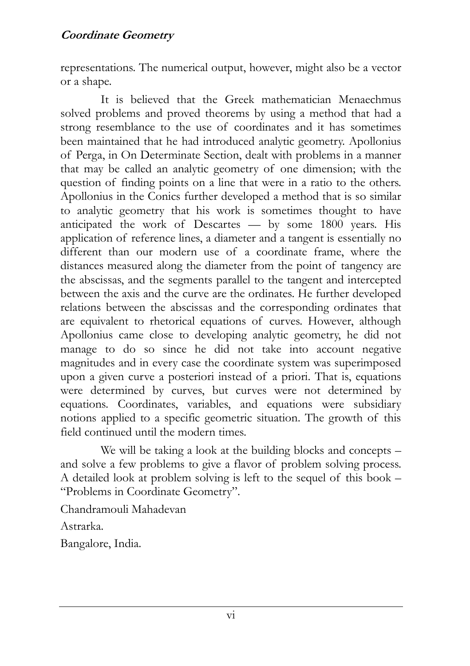representations. The numerical output, however, might also be a vector or a shape.

It is believed that the Greek mathematician Menaechmus solved problems and proved theorems by using a method that had a strong resemblance to the use of coordinates and it has sometimes been maintained that he had introduced analytic geometry. Apollonius of Perga, in On Determinate Section, dealt with problems in a manner that may be called an analytic geometry of one dimension; with the question of finding points on a line that were in a ratio to the others. Apollonius in the Conics further developed a method that is so similar to analytic geometry that his work is sometimes thought to have anticipated the work of Descartes — by some 1800 years. His application of reference lines, a diameter and a tangent is essentially no different than our modern use of a coordinate frame, where the distances measured along the diameter from the point of tangency are the abscissas, and the segments parallel to the tangent and intercepted between the axis and the curve are the ordinates. He further developed relations between the abscissas and the corresponding ordinates that are equivalent to rhetorical equations of curves. However, although Apollonius came close to developing analytic geometry, he did not manage to do so since he did not take into account negative magnitudes and in every case the coordinate system was superimposed upon a given curve a posteriori instead of a priori. That is, equations were determined by curves, but curves were not determined by equations. Coordinates, variables, and equations were subsidiary notions applied to a specific geometric situation. The growth of this field continued until the modern times.

We will be taking a look at the building blocks and concepts – and solve a few problems to give a flavor of problem solving process. A detailed look at problem solving is left to the sequel of this book – "Problems in Coordinate Geometry".

Chandramouli Mahadevan

Astrarka.

Bangalore, India.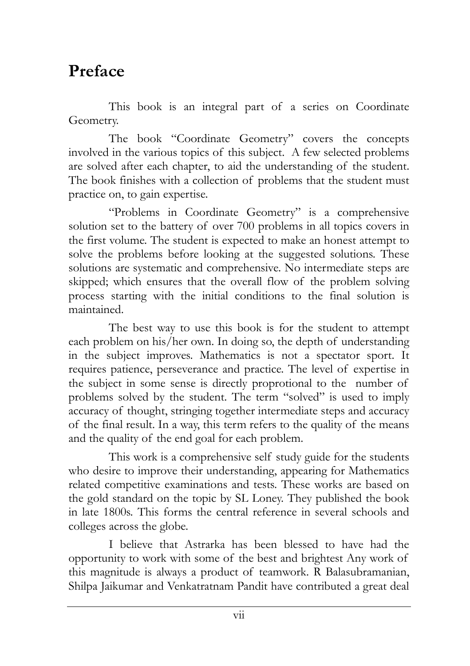## **Preface**

This book is an integral part of a series on Coordinate Geometry.

The book "Coordinate Geometry" covers the concepts involved in the various topics of this subject. A few selected problems are solved after each chapter, to aid the understanding of the student. The book finishes with a collection of problems that the student must practice on, to gain expertise.

"Problems in Coordinate Geometry" is a comprehensive solution set to the battery of over 700 problems in all topics covers in the first volume. The student is expected to make an honest attempt to solve the problems before looking at the suggested solutions. These solutions are systematic and comprehensive. No intermediate steps are skipped; which ensures that the overall flow of the problem solving process starting with the initial conditions to the final solution is maintained.

The best way to use this book is for the student to attempt each problem on his/her own. In doing so, the depth of understanding in the subject improves. Mathematics is not a spectator sport. It requires patience, perseverance and practice. The level of expertise in the subject in some sense is directly proprotional to the number of problems solved by the student. The term "solved" is used to imply accuracy of thought, stringing together intermediate steps and accuracy of the final result. In a way, this term refers to the quality of the means and the quality of the end goal for each problem.

This work is a comprehensive self study guide for the students who desire to improve their understanding, appearing for Mathematics related competitive examinations and tests. These works are based on the gold standard on the topic by SL Loney. They published the book in late 1800s. This forms the central reference in several schools and colleges across the globe.

I believe that Astrarka has been blessed to have had the opportunity to work with some of the best and brightest Any work of this magnitude is always a product of teamwork. R Balasubramanian, Shilpa Jaikumar and Venkatratnam Pandit have contributed a great deal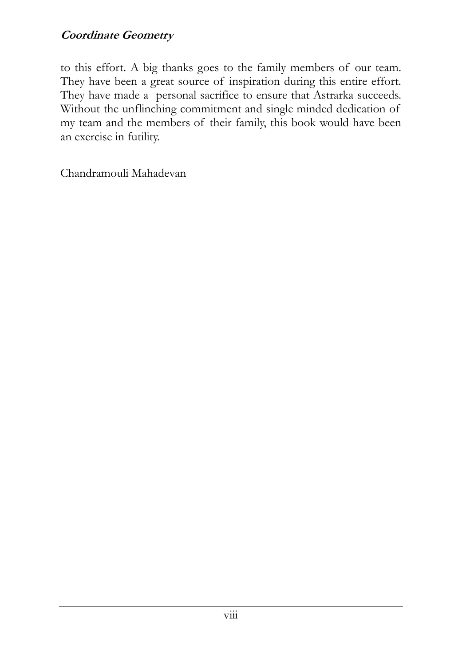#### **Coordinate Geometry**

to this effort. A big thanks goes to the family members of our team. They have been a great source of inspiration during this entire effort. They have made a personal sacrifice to ensure that Astrarka succeeds. Without the unflinching commitment and single minded dedication of my team and the members of their family, this book would have been an exercise in futility.

Chandramouli Mahadevan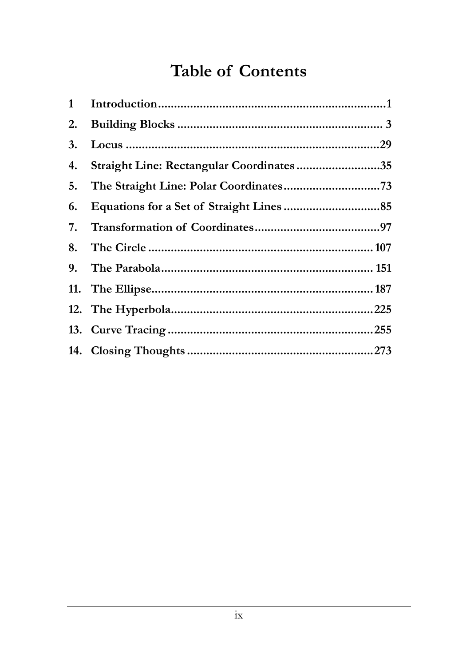## **Table of Contents**

| 1  |                                          |  |
|----|------------------------------------------|--|
| 2. |                                          |  |
| 3. |                                          |  |
| 4. | Straight Line: Rectangular Coordinates35 |  |
| 5. |                                          |  |
| 6. |                                          |  |
| 7. |                                          |  |
| 8. |                                          |  |
|    |                                          |  |
|    |                                          |  |
|    |                                          |  |
|    |                                          |  |
|    |                                          |  |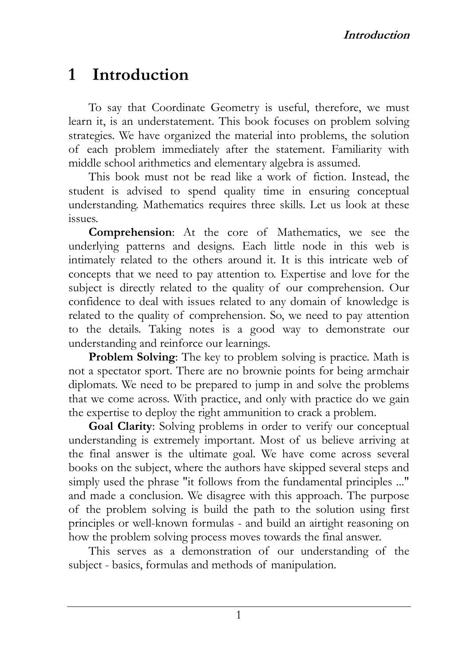## **1 Introduction**

To say that Coordinate Geometry is useful, therefore, we must learn it, is an understatement. This book focuses on problem solving strategies. We have organized the material into problems, the solution of each problem immediately after the statement. Familiarity with middle school arithmetics and elementary algebra is assumed.

This book must not be read like a work of fiction. Instead, the student is advised to spend quality time in ensuring conceptual understanding. Mathematics requires three skills. Let us look at these issues.

**Comprehension**: At the core of Mathematics, we see the underlying patterns and designs. Each little node in this web is intimately related to the others around it. It is this intricate web of concepts that we need to pay attention to. Expertise and love for the subject is directly related to the quality of our comprehension. Our confidence to deal with issues related to any domain of knowledge is related to the quality of comprehension. So, we need to pay attention to the details. Taking notes is a good way to demonstrate our understanding and reinforce our learnings.

**Problem Solving**: The key to problem solving is practice. Math is not a spectator sport. There are no brownie points for being armchair diplomats. We need to be prepared to jump in and solve the problems that we come across. With practice, and only with practice do we gain the expertise to deploy the right ammunition to crack a problem.

**Goal Clarity**: Solving problems in order to verify our conceptual understanding is extremely important. Most of us believe arriving at the final answer is the ultimate goal. We have come across several books on the subject, where the authors have skipped several steps and simply used the phrase "it follows from the fundamental principles ..." and made a conclusion. We disagree with this approach. The purpose of the problem solving is build the path to the solution using first principles or well-known formulas - and build an airtight reasoning on how the problem solving process moves towards the final answer.

This serves as a demonstration of our understanding of the subject - basics, formulas and methods of manipulation.

1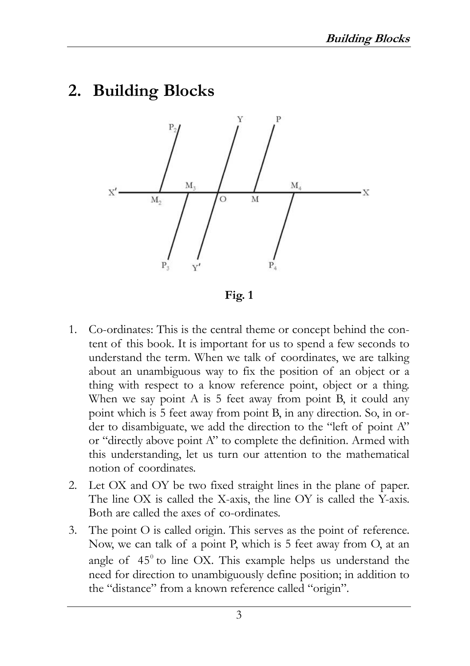### **2. Building Blocks**



**Fig. 1** 

- 1. Co-ordinates: This is the central theme or concept behind the content of this book. It is important for us to spend a few seconds to understand the term. When we talk of coordinates, we are talking about an unambiguous way to fix the position of an object or a thing with respect to a know reference point, object or a thing. When we say point A is 5 feet away from point B, it could any point which is 5 feet away from point B, in any direction. So, in order to disambiguate, we add the direction to the "left of point A" or "directly above point A" to complete the definition. Armed with this understanding, let us turn our attention to the mathematical notion of coordinates.
- 2. Let OX and OY be two fixed straight lines in the plane of paper. The line OX is called the X-axis, the line OY is called the Y-axis. Both are called the axes of co-ordinates.
- 3. The point O is called origin. This serves as the point of reference. Now, we can talk of a point P, which is 5 feet away from O, at an angle of  $45^\circ$  to line OX. This example helps us understand the need for direction to unambiguously define position; in addition to the "distance" from a known reference called "origin".